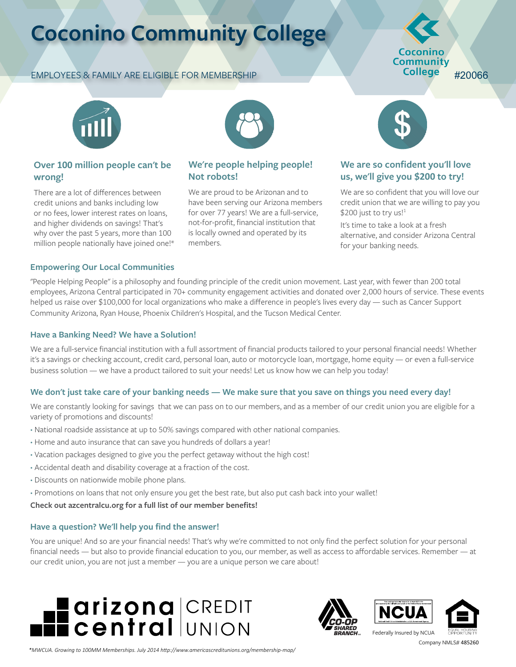### **Coconino Community College**

#### EMPLOYEES & FAMILY ARE ELIGIBLE FOR MEMBERSHIP

#### Coconino Community **College** #20066



#### **Over 100 million people can't be wrong!**

There are a lot of differences between credit unions and banks including low or no fees, lower interest rates on loans, and higher dividends on savings! That's why over the past 5 years, more than 100 million people nationally have joined one!\*



#### **We're people helping people! Not robots!**

We are proud to be Arizonan and to have been serving our Arizona members for over 77 years! We are a full-service, not-for-profit, financial institution that is locally owned and operated by its members.



#### **We are so confident you'll love us, we'll give you \$200 to try!**

We are so confident that you will love our credit union that we are willing to pay you \$200 just to try us! $11$ 

It's time to take a look at a fresh alternative, and consider Arizona Central for your banking needs.

#### **Empowering Our Local Communities**

"People Helping People" is a philosophy and founding principle of the credit union movement. Last year, with fewer than 200 total employees, Arizona Central participated in 70+ community engagement activities and donated over 2,000 hours of service. These events helped us raise over \$100,000 for local organizations who make a difference in people's lives every day — such as Cancer Support Community Arizona, Ryan House, Phoenix Children's Hospital, and the Tucson Medical Center.

#### **Have a Banking Need? We have a Solution!**

We are a full-service financial institution with a full assortment of financial products tailored to your personal financial needs! Whether it's a savings or checking account, credit card, personal loan, auto or motorcycle loan, mortgage, home equity — or even a full-service business solution — we have a product tailored to suit your needs! Let us know how we can help you today!

#### **We don't just take care of your banking needs — We make sure that you save on things you need every day!**

We are constantly looking for savings that we can pass on to our members, and as a member of our credit union you are eligible for a variety of promotions and discounts!

- **∙** National roadside assistance at up to 50% savings compared with other national companies.
- **∙** Home and auto insurance that can save you hundreds of dollars a year!
- **∙** Vacation packages designed to give you the perfect getaway without the high cost!
- **∙** Accidental death and disability coverage at a fraction of the cost.
- **∙** Discounts on nationwide mobile phone plans.
- **∙** Promotions on loans that not only ensure you get the best rate, but also put cash back into your wallet!

#### **Check out azcentralcu.org for a full list of our member benefits!**

#### **Have a question? We'll help you find the answer!**

You are unique! And so are your financial needs! That's why we're committed to not only find the perfect solution for your personal financial needs — but also to provide financial education to you, our member, as well as access to affordable services. Remember — at our credit union, you are not just a member — you are a unique person we care about!









*\*MWCUA. Growing to 100MM Memberships. July 2014 http://www.americascreditunions.org/membership-map/*

Company NMLS# 485260